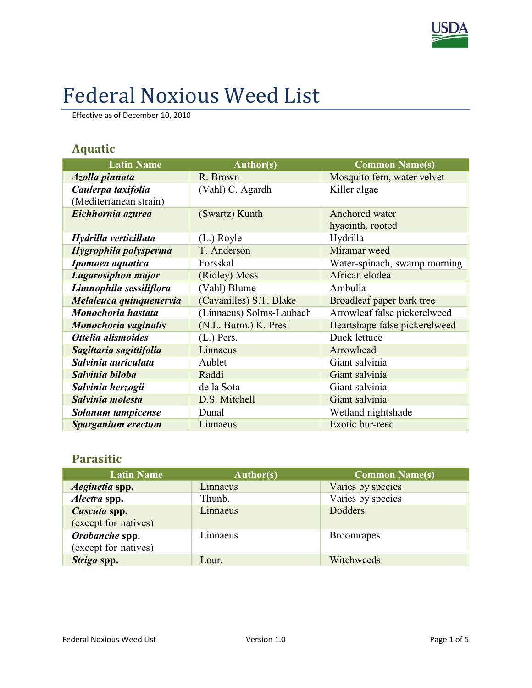

# Federal Noxious Weed List

Effective as of December 10, 2010

### **Aquatic**

| <b>Latin Name</b>       | <b>Author(s)</b>         | <b>Common Name(s)</b>         |
|-------------------------|--------------------------|-------------------------------|
| Azolla pinnata          | R. Brown                 | Mosquito fern, water velvet   |
| Caulerpa taxifolia      | (Vahl) C. Agardh         | Killer algae                  |
| (Mediterranean strain)  |                          |                               |
| Eichhornia azurea       | (Swartz) Kunth           | Anchored water                |
|                         |                          | hyacinth, rooted              |
| Hydrilla verticillata   | $(L.)$ Royle             | Hydrilla                      |
| Hygrophila polysperma   | T. Anderson              | Miramar weed                  |
| Ipomoea aquatica        | Forsskal                 | Water-spinach, swamp morning  |
| Lagarosiphon major      | (Ridley) Moss            | African elodea                |
| Limnophila sessiliflora | (Vahl) Blume             | Ambulia                       |
| Melaleuca quinquenervia | (Cavanilles) S.T. Blake  | Broadleaf paper bark tree     |
| Monochoria hastata      | (Linnaeus) Solms-Laubach | Arrowleaf false pickerelweed  |
| Monochoria vaginalis    | (N.L. Burm.) K. Presl    | Heartshape false pickerelweed |
| Ottelia alismoides      | $(L.)$ Pers.             | Duck lettuce                  |
| Sagittaria sagittifolia | Linnaeus                 | Arrowhead                     |
| Salvinia auriculata     | Aublet                   | Giant salvinia                |
| Salvinia biloba         | Raddi                    | Giant salvinia                |
| Salvinia herzogii       | de la Sota               | Giant salvinia                |
| Salvinia molesta        | D.S. Mitchell            | Giant salvinia                |
| Solanum tampicense      | Dunal                    | Wetland nightshade            |
| Sparganium erectum      | Linnaeus                 | Exotic bur-reed               |

#### **Parasitic**

| <b>Latin Name</b>                      | <b>Author(s)</b> | <b>Common Name(s)</b> |
|----------------------------------------|------------------|-----------------------|
| Aeginetia spp.                         | Linnaeus         | Varies by species     |
| Alectra spp.                           | Thunb.           | Varies by species     |
| Cuscuta spp.<br>(except for natives)   | Linnaeus         | Dodders               |
| Orobanche spp.<br>(except for natives) | Linnaeus         | <b>Broomrapes</b>     |
| Striga spp.                            | Lour.            | Witchweeds            |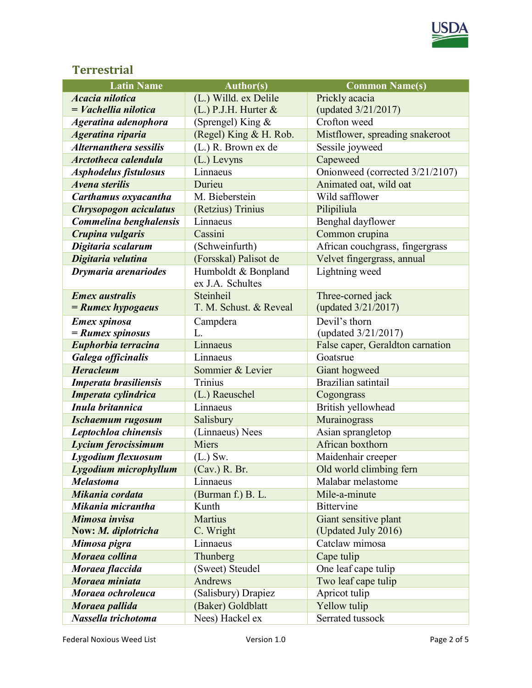

#### **Terrestrial**

| <b>Latin Name</b>             | <b>Author(s)</b>         | <b>Common Name(s)</b>            |
|-------------------------------|--------------------------|----------------------------------|
| <b>Acacia</b> nilotica        | (L.) Willd. ex Delile    | Prickly acacia                   |
| $=$ <i>Vachellia nilotica</i> | $(L.)$ P.J.H. Hurter $&$ | (updated 3/21/2017)              |
| Ageratina adenophora          | (Sprengel) King &        | Crofton weed                     |
| Ageratina riparia             | (Regel) King & H. Rob.   | Mistflower, spreading snakeroot  |
| <b>Alternanthera sessilis</b> | (L.) R. Brown ex de      | Sessile joyweed                  |
| Arctotheca calendula          | (L.) Levyns              | Capeweed                         |
| Asphodelus fistulosus         | Linnaeus                 | Onionweed (corrected 3/21/2107)  |
| <b>Avena sterilis</b>         | Durieu                   | Animated oat, wild oat           |
| Carthamus oxyacantha          | M. Bieberstein           | Wild safflower                   |
| Chrysopogon aciculatus        | (Retzius) Trinius        | Pilipiliula                      |
| Commelina benghalensis        | Linnaeus                 | Benghal dayflower                |
| Crupina vulgaris              | Cassini                  | Common crupina                   |
| Digitaria scalarum            | (Schweinfurth)           | African couchgrass, fingergrass  |
| Digitaria velutina            | (Forsskal) Palisot de    | Velvet fingergrass, annual       |
| Drymaria arenariodes          | Humboldt & Bonpland      | Lightning weed                   |
|                               | ex J.A. Schultes         |                                  |
| <b>Emex</b> australis         | Steinheil                | Three-corned jack                |
| $=$ Rumex hypogaeus           | T. M. Schust. & Reveal   | (updated 3/21/2017)              |
| <b>Emex spinosa</b>           | Campdera                 | Devil's thorn                    |
| $=$ Rumex spinosus            | L.                       | (updated 3/21/2017)              |
| Euphorbia terracina           | Linnaeus                 | False caper, Geraldton carnation |
| Galega officinalis            | Linnaeus                 | Goatsrue                         |
| <b>Heracleum</b>              | Sommier & Levier         | Giant hogweed                    |
| Imperata brasiliensis         | Trinius                  | Brazilian satintail              |
| Imperata cylindrica           | (L.) Raeuschel           | Cogongrass                       |
| Inula britannica              | Linnaeus                 | British yellowhead               |
| <b>Ischaemum rugosum</b>      | Salisbury                | Murainograss                     |
| Leptochloa chinensis          | (Linnaeus) Nees          | Asian sprangletop                |
| Lycium ferocissimum           | Miers                    | African boxthorn                 |
| Lygodium flexuosum            | $(L.)$ Sw.               | Maidenhair creeper               |
| Lygodium microphyllum         | (Cav.) R. Br.            | Old world climbing fern          |
| <b>Melastoma</b>              | Linnaeus                 | Malabar melastome                |
| Mikania cordata               | (Burman f.) B. L.        | Mile-a-minute                    |
| Mikania micrantha             | Kunth                    | <b>Bittervine</b>                |
| Mimosa invisa                 | <b>Martius</b>           | Giant sensitive plant            |
| Now: M. diplotricha           | C. Wright                | (Updated July 2016)              |
| Mimosa pigra                  | Linnaeus                 | Catclaw mimosa                   |
| Moraea collina                | Thunberg                 | Cape tulip                       |
| Moraea flaccida               | (Sweet) Steudel          | One leaf cape tulip              |
| Moraea miniata                | <b>Andrews</b>           | Two leaf cape tulip              |
| Moraea ochroleuca             | (Salisbury) Drapiez      | Apricot tulip                    |
| Moraea pallida                | (Baker) Goldblatt        | Yellow tulip                     |
| Nassella trichotoma           | Nees) Hackel ex          | Serrated tussock                 |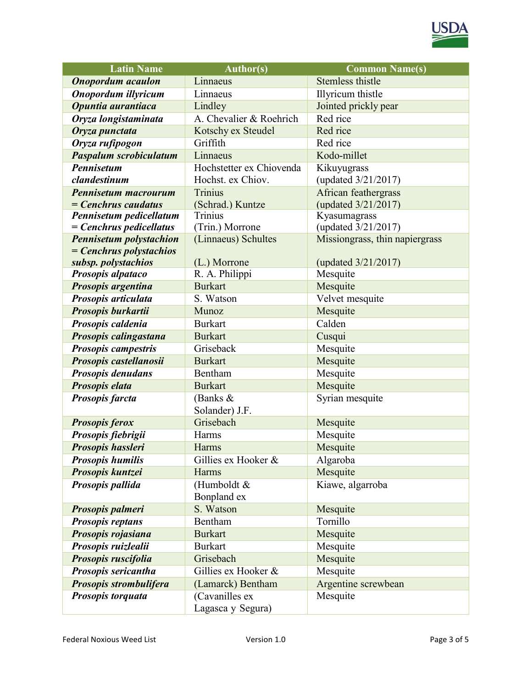

| <b>Latin Name</b>              | <b>Author(s)</b>         | <b>Common Name(s)</b>          |
|--------------------------------|--------------------------|--------------------------------|
| <b>Onopordum</b> acaulon       | Linnaeus                 | <b>Stemless thistle</b>        |
| Onopordum illyricum            | Linnaeus                 | Illyricum thistle              |
| Opuntia aurantiaca             | Lindley                  | Jointed prickly pear           |
| Oryza longistaminata           | A. Chevalier & Roehrich  | Red rice                       |
| Oryza punctata                 | Kotschy ex Steudel       | Red rice                       |
| Oryza rufipogon                | Griffith                 | Red rice                       |
| <b>Paspalum scrobiculatum</b>  | Linnaeus                 | Kodo-millet                    |
| <b>Pennisetum</b>              | Hochstetter ex Chiovenda | Kikuyugrass                    |
| clandestinum                   | Hochst. ex Chiov.        | (updated 3/21/2017)            |
| Pennisetum macrourum           | <b>Trinius</b>           | African feathergrass           |
| $=$ Cenchrus caudatus          | (Schrad.) Kuntze         | (updated 3/21/2017)            |
| Pennisetum pedicellatum        | Trinius                  | Kyasumagrass                   |
| $= Cenchrus$ pedicellatus      | (Trin.) Morrone          | (updated 3/21/2017)            |
| <b>Pennisetum polystachion</b> | (Linnaeus) Schultes      | Missiongrass, thin napiergrass |
| $= Cenchrus polystachios$      |                          |                                |
| subsp. polystachios            | (L.) Morrone             | (updated 3/21/2017)            |
| Prosopis alpataco              | R. A. Philippi           | Mesquite                       |
| Prosopis argentina             | <b>Burkart</b>           | Mesquite                       |
| Prosopis articulata            | S. Watson                | Velvet mesquite                |
| Prosopis burkartii             | Munoz                    | Mesquite                       |
| Prosopis caldenia              | <b>Burkart</b>           | Calden                         |
| Prosopis calingastana          | <b>Burkart</b>           | Cusqui                         |
| Prosopis campestris            | Griseback                | Mesquite                       |
| Prosopis castellanosii         | <b>Burkart</b>           | Mesquite                       |
| Prosopis denudans              | Bentham                  | Mesquite                       |
| Prosopis elata                 | <b>Burkart</b>           | Mesquite                       |
| Prosopis farcta                | (Banks $&$               | Syrian mesquite                |
|                                | Solander) J.F.           |                                |
| <b>Prosopis ferox</b>          | Grisebach                | Mesquite                       |
| Prosopis fiebrigii             | Harms                    | Mesquite                       |
| Prosopis hassleri              | Harms                    | Mesquite                       |
| <b>Prosopis humilis</b>        | Gillies ex Hooker &      | Algaroba                       |
| Prosopis kuntzei               | Harms                    | Mesquite                       |
| Prosopis pallida               | (Humboldt &              | Kiawe, algarroba               |
|                                | Bonpland ex              |                                |
| Prosopis palmeri               | S. Watson                | Mesquite                       |
| <b>Prosopis reptans</b>        | Bentham                  | Tornillo                       |
| Prosopis rojasiana             | <b>Burkart</b>           | Mesquite                       |
| Prosopis ruizlealii            | <b>Burkart</b>           | Mesquite                       |
| Prosopis ruscifolia            | Grisebach                | Mesquite                       |
| Prosopis sericantha            | Gillies ex Hooker &      | Mesquite                       |
| Prosopis strombulifera         | (Lamarck) Bentham        | Argentine screwbean            |
| Prosopis torquata              | (Cavanilles ex           | Mesquite                       |
|                                | Lagasca y Segura)        |                                |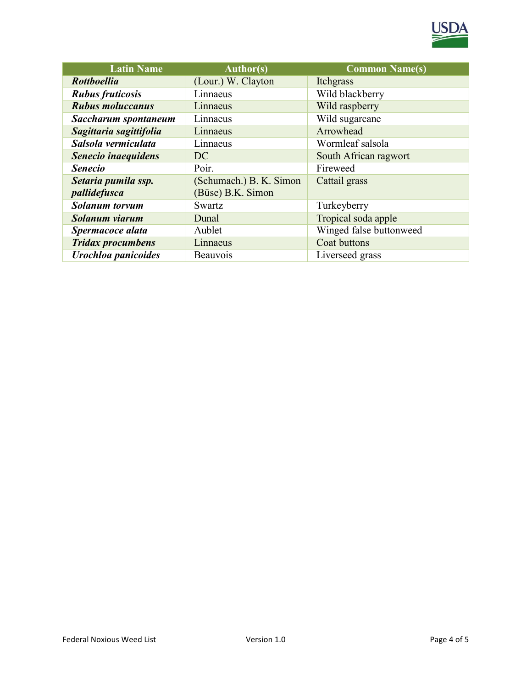

| <b>Latin Name</b>          | <b>Author(s)</b>        | <b>Common Name(s)</b>   |
|----------------------------|-------------------------|-------------------------|
| <b>Rottboellia</b>         | (Lour.) W. Clayton      | Itchgrass               |
| <b>Rubus fruticosis</b>    | Linnaeus                | Wild blackberry         |
| <b>Rubus moluccanus</b>    | Linnaeus                | Wild raspberry          |
| Saccharum spontaneum       | Linnaeus                | Wild sugarcane          |
| Sagittaria sagittifolia    | Linnaeus                | Arrowhead               |
| Salsola vermiculata        | Linnaeus                | Wormleaf salsola        |
| Senecio inaequidens        | DC.                     | South African ragwort   |
| <b>Senecio</b>             | Poir.                   | Fireweed                |
| Setaria pumila ssp.        | (Schumach.) B. K. Simon | Cattail grass           |
| pallidefusca               | (Büse) B.K. Simon       |                         |
| <b>Solanum</b> torvum      | Swartz                  | Turkeyberry             |
| Solanum viarum             | Dunal                   | Tropical soda apple     |
| Spermacoce alata           | Aublet                  | Winged false buttonweed |
| <b>Tridax procumbens</b>   | Linnaeus                | Coat buttons            |
| <b>Urochloa panicoides</b> | Beauvois                | Liverseed grass         |